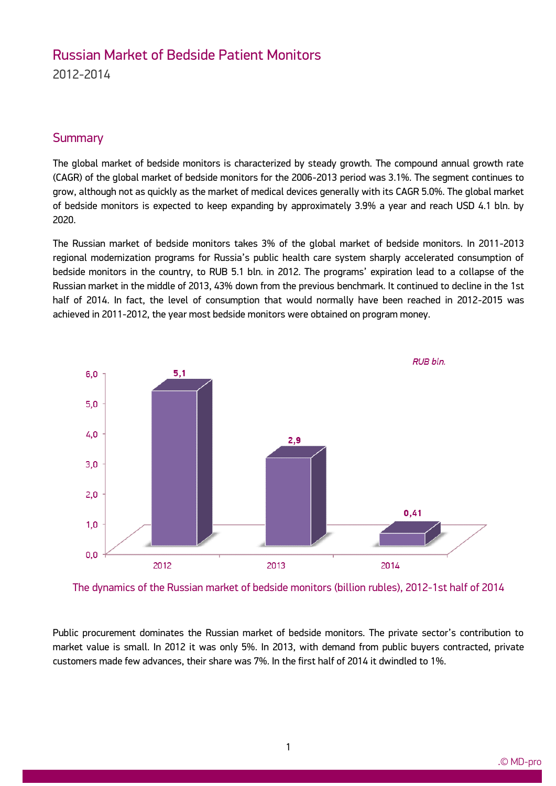# Russian Market of Bedside Patient Monitors 2012-2014

### **Summary**

ww.mdecker.com

The global market of bedside monitors is characterized by steady growth. The compound annual growth rate (CAGR) of the global market of bedside monitors for the 2006-2013 period was 3.1%. The segment continues to grow, although not as quickly as the market of medical devices generally with its CAGR 5.0%. The global market of bedside monitors is expected to keep expanding by approximately 3.9% a year and reach USD 4.1 bln. by 2020.

The Russian market of bedside monitors takes 3% of the global market of bedside monitors. In 2011-2013 regional modernization programs for Russia's public health care system sharply accelerated consumption of bedside monitors in the country, to RUB 5.1 bln. in 2012. The programs' expiration lead to a collapse of the Russian market in the middle of 2013, 43% down from the previous benchmark. It continued to decline in the 1st half of 2014. In fact, the level of consumption that would normally have been reached in 2012-2015 was achieved in 2011-2012, the year most bedside monitors were obtained on program money.



The dynamics of the Russian market of bedside monitors (billion rubles), 2012-1st half of 2014

Public procurement dominates the Russian market of bedside monitors. The private sector's contribution to market value is small. In 2012 it was only 5%. In 2013, with demand from public buyers contracted, private customers made few advances, their share was 7%. In the first half of 2014 it dwindled to 1%.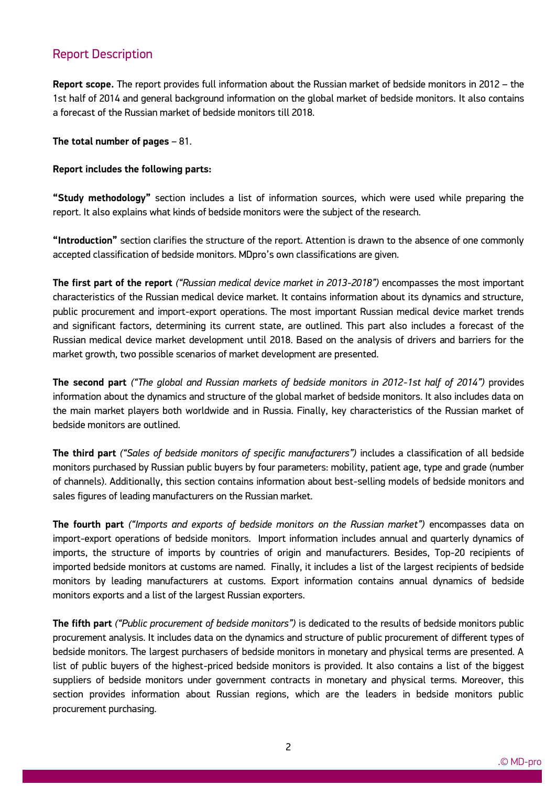### Report Description

ww.mdecker.com

**Report scope.** The report provides full information about the Russian market of bedside monitors in 2012 – the 1st half of 2014 and general background information on the global market of bedside monitors. It also contains a forecast of the Russian market of bedside monitors till 2018.

#### **The total number of pages** – 81.

#### **Report includes the following parts:**

**"Study methodology"** section includes a list of information sources, which were used while preparing the report. It also explains what kinds of bedside monitors were the subject of the research.

**"Introduction"** section clarifies the structure of the report. Attention is drawn to the absence of one commonly accepted classification of bedside monitors. MDpro's own classifications are given.

**The first part of the report** *("Russian medical device market in 2013-2018")* encompasses the most important characteristics of the Russian medical device market. It contains information about its dynamics and structure, public procurement and import-export operations. The most important Russian medical device market trends and significant factors, determining its current state, are outlined. This part also includes a forecast of the Russian medical device market development until 2018. Based on the analysis of drivers and barriers for the market growth, two possible scenarios of market development are presented.

**The second part** *("The global and Russian markets of bedside monitors in 2012-1st half of 2014")* provides information about the dynamics and structure of the global market of bedside monitors. It also includes data on the main market players both worldwide and in Russia. Finally, key characteristics of the Russian market of bedside monitors are outlined.

**The third part** *("Sales of bedside monitors of specific manufacturers")* includes a classification of all bedside monitors purchased by Russian public buyers by four parameters: mobility, patient age, type and grade (number of channels). Additionally, this section contains information about best-selling models of bedside monitors and sales figures of leading manufacturers on the Russian market.

**The fourth part** *("Imports and exports of bedside monitors on the Russian market")* encompasses data on import-export operations of bedside monitors. Import information includes annual and quarterly dynamics of imports, the structure of imports by countries of origin and manufacturers. Besides, Top-20 recipients of imported bedside monitors at customs are named. Finally, it includes a list of the largest recipients of bedside monitors by leading manufacturers at customs. Export information contains annual dynamics of bedside monitors exports and a list of the largest Russian exporters.

**The fifth part** *("Public procurement of bedside monitors")* is dedicated to the results of bedside monitors public procurement analysis. It includes data on the dynamics and structure of public procurement of different types of bedside monitors. The largest purchasers of bedside monitors in monetary and physical terms are presented. A list of public buyers of the highest-priced bedside monitors is provided. It also contains a list of the biggest suppliers of bedside monitors under government contracts in monetary and physical terms. Moreover, this section provides information about Russian regions, which are the leaders in bedside monitors public procurement purchasing.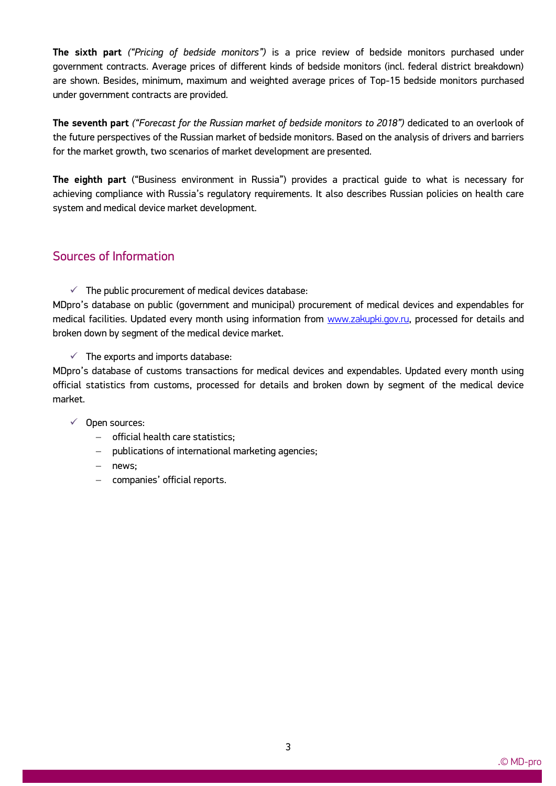**The sixth part** *("Pricing of bedside monitors")* is a price review of bedside monitors purchased under government contracts. Average prices of different kinds of bedside monitors (incl. federal district breakdown) are shown. Besides, minimum, maximum and weighted average prices of Top-15 bedside monitors purchased under government contracts are provided.

**The seventh part** *("Forecast for the Russian market of bedside monitors to 2018")* dedicated to an overlook of the future perspectives of the Russian market of bedside monitors. Based on the analysis of drivers and barriers for the market growth, two scenarios of market development are presented.

**The eighth part** ("Business environment in Russia") provides a practical guide to what is necessary for achieving compliance with Russia's regulatory requirements. It also describes Russian policies on health care system and medical device market development.

### Sources of Information

 $\checkmark$  The public procurement of medical devices database:

MDpro's database on public (government and municipal) procurement of medical devices and expendables for medical facilities. Updated every month using information from www.zakupki.gov.ru, processed for details and broken down by segment of the medical device market.

 $\checkmark$  The exports and imports database:

MDpro's database of customs transactions for medical devices and expendables. Updated every month using official statistics from customs, processed for details and broken down by segment of the medical device market.

#### $\checkmark$  Open sources:

- $-$  official health care statistics:
- publications of international marketing agencies;
- news:

ww.mdecker.com

- companies' official reports.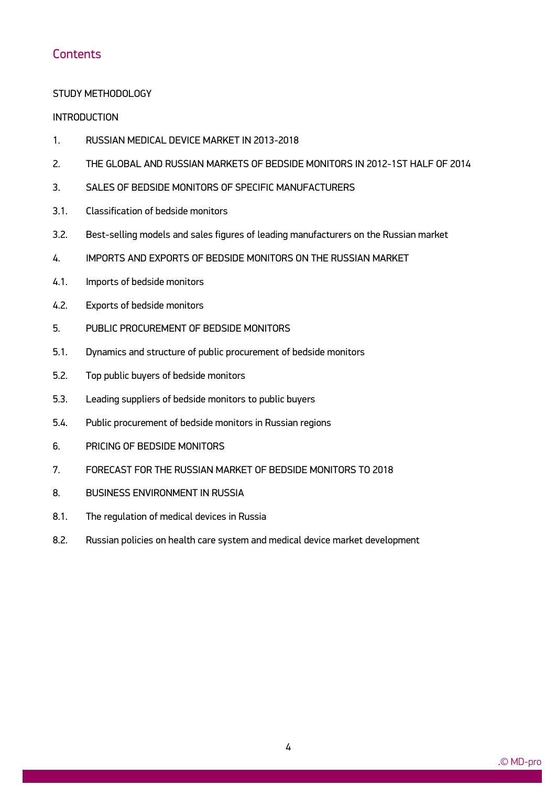### **Contents**

#### STUDY METHODOLOGY

#### **INTRODUCTION**

- 1. RUSSIAN MEDICAL DEVICE MARKET IN 2013-2018
- 2. THE GLOBAL AND RUSSIAN MARKETS OF BEDSIDE MONITORS IN 2012-1ST HALF OF 2014
- 3. SALES OF BEDSIDE MONITORS OF SPECIFIC MANUFACTURERS
- 3.1. Classification of bedside monitors
- 3.2. Best-selling models and sales figures of leading manufacturers on the Russian market
- 4. IMPORTS AND EXPORTS OF BEDSIDE MONITORS ON THE RUSSIAN MARKET
- 4.1. Imports of bedside monitors
- 4.2. Exports of bedside monitors
- 5. PUBLIC PROCUREMENT OF BEDSIDE MONITORS
- 5.1. Dynamics and structure of public procurement of bedside monitors
- 5.2. Top public buyers of bedside monitors
- 5.3. Leading suppliers of bedside monitors to public buyers
- 5.4. Public procurement of bedside monitors in Russian regions
- 6. PRICING OF BEDSIDE MONITORS

- 7. FORECAST FOR THE RUSSIAN MARKET OF BEDSIDE MONITORS TO 2018
- 8. BUSINESS ENVIRONMENT IN RUSSIA
- 8.1. The regulation of medical devices in Russia
- 8.2. Russian policies on health care system and medical device market development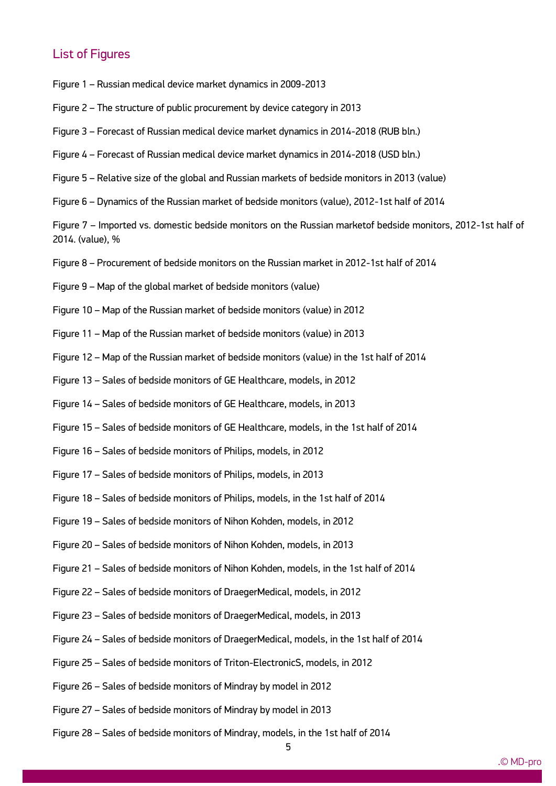### List of Figures

- Figure 1 Russian medical device market dynamics in 2009-2013
- Figure 2 The structure of public procurement by device category in 2013
- Figure 3 Forecast of Russian medical device market dynamics in 2014-2018 (RUB bln.)
- Figure 4 Forecast of Russian medical device market dynamics in 2014-2018 (USD bln.)
- Figure 5 Relative size of the global and Russian markets of bedside monitors in 2013 (value)
- Figure 6 Dynamics of the Russian market of bedside monitors (value), 2012-1st half of 2014

Figure 7 – Imported vs. domestic bedside monitors on the Russian marketof bedside monitors, 2012-1st half of 2014. (value), %

- Figure 8 Procurement of bedside monitors on the Russian market in 2012-1st half of 2014
- Figure 9 Map of the global market of bedside monitors (value)
- Figure 10 Map of the Russian market of bedside monitors (value) in 2012
- Figure 11 Map of the Russian market of bedside monitors (value) in 2013
- Figure 12 Map of the Russian market of bedside monitors (value) in the 1st half of 2014
- Figure 13 Sales of bedside monitors of GE Healthcare, models, in 2012
- Figure 14 Sales of bedside monitors of GE Healthcare, models, in 2013
- Figure 15 Sales of bedside monitors of GE Healthcare, models, in the 1st half of 2014
- Figure 16 Sales of bedside monitors of Philips, models, in 2012
- Figure 17 Sales of bedside monitors of Philips, models, in 2013
- Figure 18 Sales of bedside monitors of Philips, models, in the 1st half of 2014
- Figure 19 Sales of bedside monitors of Nihon Kohden, models, in 2012
- Figure 20 Sales of bedside monitors of Nihon Kohden, models, in 2013
- Figure 21 Sales of bedside monitors of Nihon Kohden, models, in the 1st half of 2014
- Figure 22 Sales of bedside monitors of DraegerMedical, models, in 2012
- Figure 23 Sales of bedside monitors of DraegerMedical, models, in 2013
- Figure 24 Sales of bedside monitors of DraegerMedical, models, in the 1st half of 2014
- Figure 25 Sales of bedside monitors of Triton-ElectronicS, models, in 2012
- Figure 26 Sales of bedside monitors of Mindray by model in 2012
- Figure 27 Sales of bedside monitors of Mindray by model in 2013

ww.mdecker.com

Figure 28 – Sales of bedside monitors of Mindray, models, in the 1st half of 2014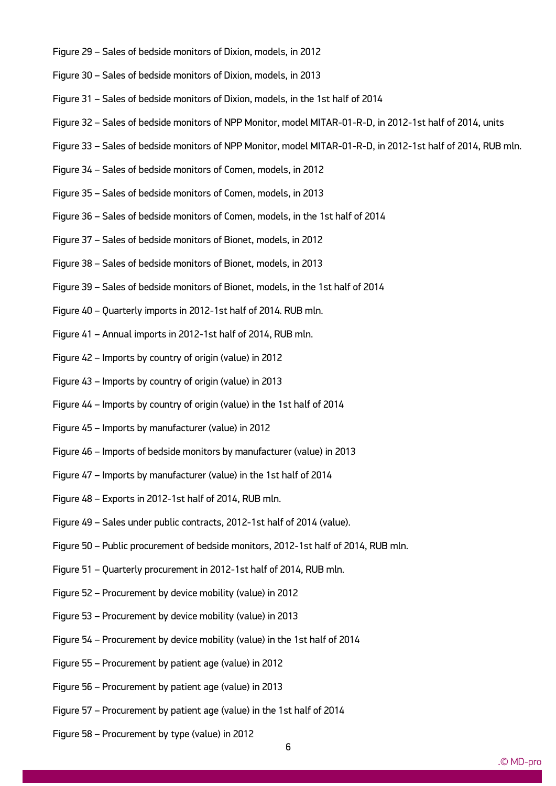- Figure 29 Sales of bedside monitors of Dixion, models, in 2012
- Figure 30 Sales of bedside monitors of Dixion, models, in 2013
- Figure 31 Sales of bedside monitors of Dixion, models, in the 1st half of 2014
- Figure 32 Sales of bedside monitors of NPP Monitor, model MITAR-01-R-D, in 2012-1st half of 2014, units
- Figure 33 Sales of bedside monitors of NPP Monitor, model MITAR-01-R-D, in 2012-1st half of 2014, RUB mln.
- Figure 34 Sales of bedside monitors of Comen, models, in 2012
- Figure 35 Sales of bedside monitors of Comen, models, in 2013
- Figure 36 Sales of bedside monitors of Comen, models, in the 1st half of 2014
- Figure 37 Sales of bedside monitors of Bionet, models, in 2012
- Figure 38 Sales of bedside monitors of Bionet, models, in 2013
- Figure 39 Sales of bedside monitors of Bionet, models, in the 1st half of 2014
- Figure 40 Quarterly imports in 2012-1st half of 2014. RUB mln.
- Figure 41 Annual imports in 2012-1st half of 2014, RUB mln.
- Figure 42 Imports by country of origin (value) in 2012
- Figure 43 Imports by country of origin (value) in 2013
- Figure 44 Imports by country of origin (value) in the 1st half of 2014
- Figure 45 Imports by manufacturer (value) in 2012
- Figure 46 Imports of bedside monitors by manufacturer (value) in 2013
- Figure 47 Imports by manufacturer (value) in the 1st half of 2014
- Figure 48 Exports in 2012-1st half of 2014, RUB mln.
- Figure 49 Sales under public contracts, 2012-1st half of 2014 (value).
- Figure 50 Public procurement of bedside monitors, 2012-1st half of 2014, RUB mln.
- Figure 51 Quarterly procurement in 2012-1st half of 2014, RUB mln.
- Figure 52 Procurement by device mobility (value) in 2012
- Figure 53 Procurement by device mobility (value) in 2013
- Figure 54 Procurement by device mobility (value) in the 1st half of 2014
- Figure 55 Procurement by patient age (value) in 2012
- Figure 56 Procurement by patient age (value) in 2013
- Figure 57 Procurement by patient age (value) in the 1st half of 2014
- Figure 58 Procurement by type (value) in 2012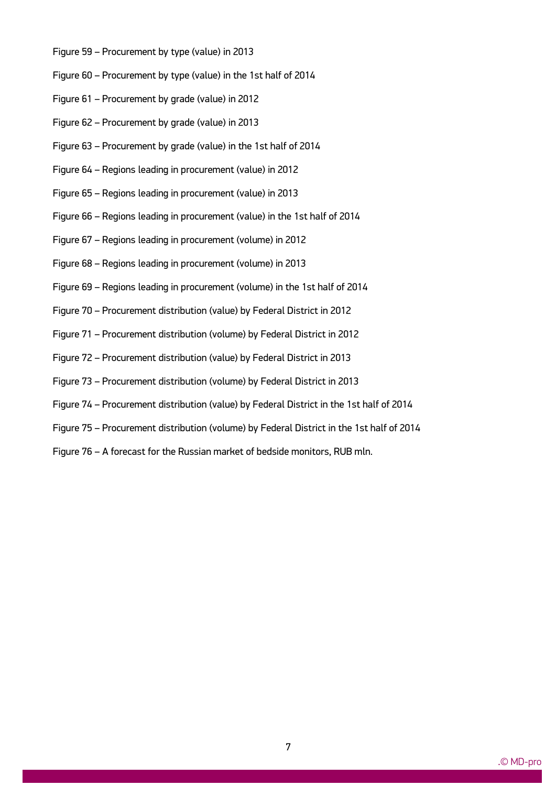- Figure 59 Procurement by type (value) in 2013
- Figure 60 Procurement by type (value) in the 1st half of 2014
- Figure 61 Procurement by grade (value) in 2012
- Figure 62 Procurement by grade (value) in 2013
- Figure 63 Procurement by grade (value) in the 1st half of 2014
- Figure 64 Regions leading in procurement (value) in 2012
- Figure 65 Regions leading in procurement (value) in 2013
- Figure 66 Regions leading in procurement (value) in the 1st half of 2014
- Figure 67 Regions leading in procurement (volume) in 2012
- Figure 68 Regions leading in procurement (volume) in 2013
- Figure 69 Regions leading in procurement (volume) in the 1st half of 2014
- Figure 70 Procurement distribution (value) by Federal District in 2012
- Figure 71 Procurement distribution (volume) by Federal District in 2012
- Figure 72 Procurement distribution (value) by Federal District in 2013
- Figure 73 Procurement distribution (volume) by Federal District in 2013
- Figure 74 Procurement distribution (value) by Federal District in the 1st half of 2014
- Figure 75 Procurement distribution (volume) by Federal District in the 1st half of 2014
- Figure 76 A forecast for the Russian market of bedside monitors, RUB mln.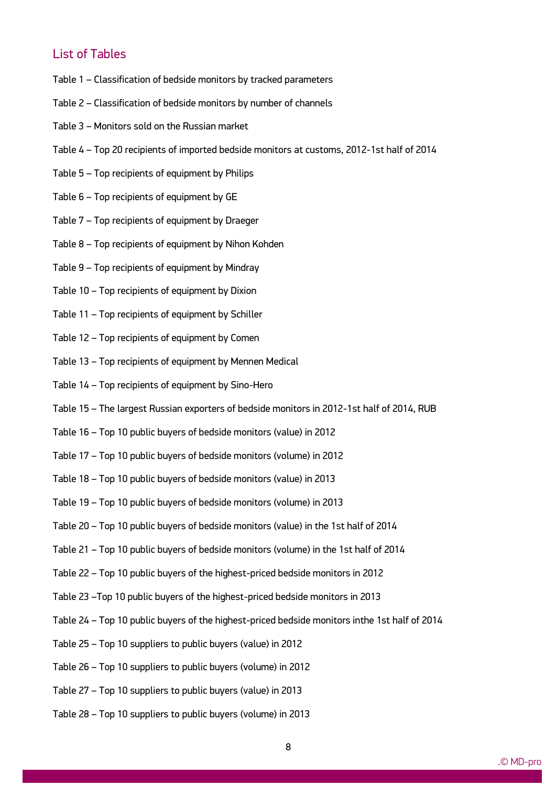## List of Tables

- Table 1 Classification of bedside monitors by tracked parameters
- Table 2 Classification of bedside monitors by number of channels
- Table 3 Monitors sold on the Russian market
- Table 4 Top 20 recipients of imported bedside monitors at customs, 2012-1st half of 2014
- Table 5 Top recipients of equipment by Philips
- Table 6 Top recipients of equipment by GE
- Table 7 Top recipients of equipment by Draeger
- Table 8 Top recipients of equipment by Nihon Kohden
- Table 9 Top recipients of equipment by Mindray
- Table 10 Top recipients of equipment by Dixion
- Table 11 Top recipients of equipment by Schiller
- Table 12 Top recipients of equipment by Comen
- Table 13 Top recipients of equipment by Mennen Medical
- Table 14 Top recipients of equipment by Sino-Hero
- Table 15 The largest Russian exporters of bedside monitors in 2012-1st half of 2014, RUB
- Table 16 Top 10 public buyers of bedside monitors (value) in 2012
- Table 17 Top 10 public buyers of bedside monitors (volume) in 2012
- Table 18 Top 10 public buyers of bedside monitors (value) in 2013
- Table 19 Top 10 public buyers of bedside monitors (volume) in 2013
- Table 20 Top 10 public buyers of bedside monitors (value) in the 1st half of 2014
- Table 21 Top 10 public buyers of bedside monitors (volume) in the 1st half of 2014
- Table 22 Top 10 public buyers of the highest-priced bedside monitors in 2012
- Table 23 –Top 10 public buyers of the highest-priced bedside monitors in 2013
- Table 24 Top 10 public buyers of the highest-priced bedside monitors inthe 1st half of 2014
- Table 25 Top 10 suppliers to public buyers (value) in 2012
- Table 26 Top 10 suppliers to public buyers (volume) in 2012
- Table 27 Top 10 suppliers to public buyers (value) in 2013
- Table 28 Top 10 suppliers to public buyers (volume) in 2013